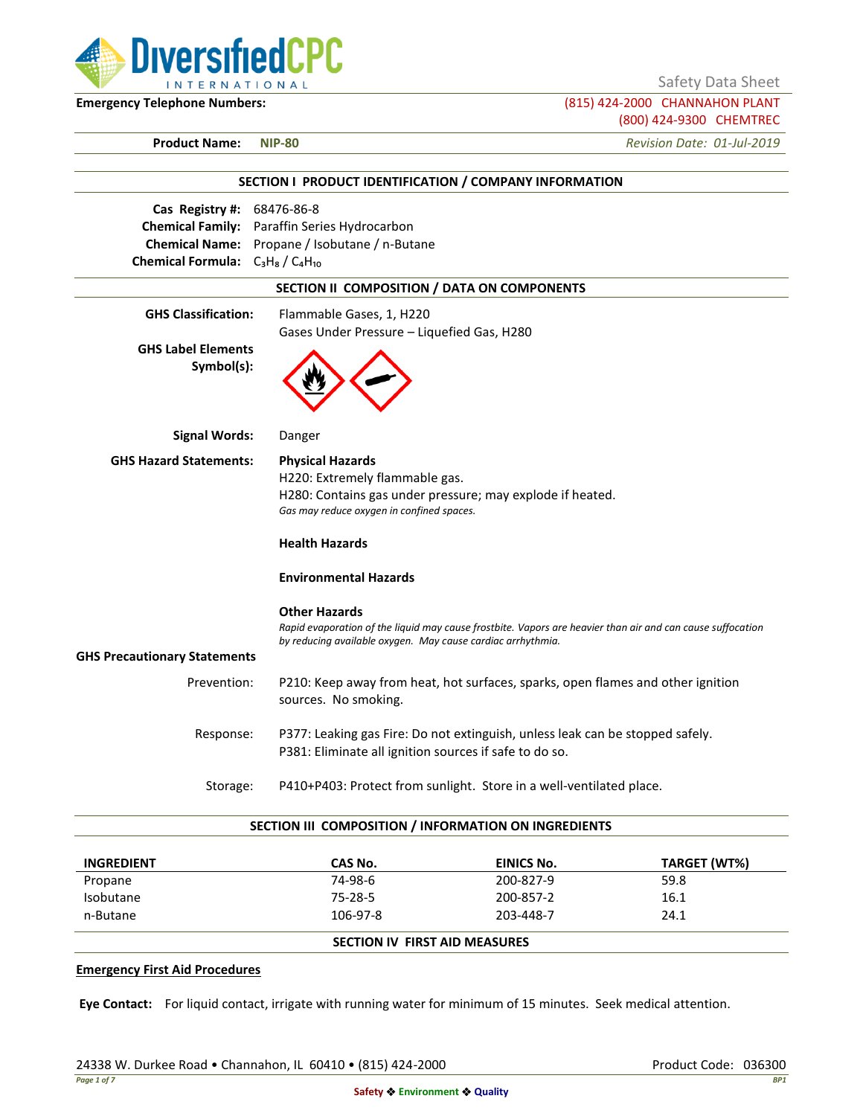

Safety Data Sheet

**Emergency Telephone Numbers:** (815) 424-2000 CHANNAHON PLANT (800) 424-9300 CHEMTREC

**Product Name: NIP-80** *Revision Date: 01-Jul-2019*

|                                                                       | SECTION I PRODUCT IDENTIFICATION / COMPANY INFORMATION                                                                                                                                            |
|-----------------------------------------------------------------------|---------------------------------------------------------------------------------------------------------------------------------------------------------------------------------------------------|
| Cas Registry #:<br>Chemical Formula: $C_3H_8/C_4H_{10}$               | 68476-86-8<br>Chemical Family: Paraffin Series Hydrocarbon<br>Chemical Name: Propane / Isobutane / n-Butane                                                                                       |
|                                                                       | SECTION II COMPOSITION / DATA ON COMPONENTS                                                                                                                                                       |
| <b>GHS Classification:</b><br><b>GHS Label Elements</b><br>Symbol(s): | Flammable Gases, 1, H220<br>Gases Under Pressure - Liquefied Gas, H280                                                                                                                            |
| <b>Signal Words:</b>                                                  | Danger                                                                                                                                                                                            |
| <b>GHS Hazard Statements:</b>                                         | <b>Physical Hazards</b><br>H220: Extremely flammable gas.<br>H280: Contains gas under pressure; may explode if heated.<br>Gas may reduce oxygen in confined spaces.<br><b>Health Hazards</b>      |
|                                                                       | <b>Environmental Hazards</b>                                                                                                                                                                      |
|                                                                       | <b>Other Hazards</b><br>Rapid evaporation of the liquid may cause frostbite. Vapors are heavier than air and can cause suffocation<br>by reducing available oxygen. May cause cardiac arrhythmia. |
| <b>GHS Precautionary Statements</b>                                   |                                                                                                                                                                                                   |
| Prevention:                                                           | P210: Keep away from heat, hot surfaces, sparks, open flames and other ignition<br>sources. No smoking.                                                                                           |
| Response:                                                             | P377: Leaking gas Fire: Do not extinguish, unless leak can be stopped safely.<br>P381: Eliminate all ignition sources if safe to do so.                                                           |
| Storage:                                                              | P410+P403: Protect from sunlight. Store in a well-ventilated place.                                                                                                                               |

#### **SECTION III COMPOSITION / INFORMATION ON INGREDIENTS**

| <b>INGREDIENT</b> | CAS No.                       | EINICS No. | TARGET (WT%) |
|-------------------|-------------------------------|------------|--------------|
| Propane           | 74-98-6                       | 200-827-9  | 59.8         |
| Isobutane         | 75-28-5                       | 200-857-2  | 16.1         |
| n-Butane          | 106-97-8                      | 203-448-7  | 24.1         |
|                   | SECTION IV FIRST AID MEASURES |            |              |

### **Emergency First Aid Procedures**

**Eye Contact:** For liquid contact, irrigate with running water for minimum of 15 minutes. Seek medical attention.

24338 W. Durkee Road • Channahon, IL 60410 • (815) 424-2000 Product Code: 036300 Product Code: 036300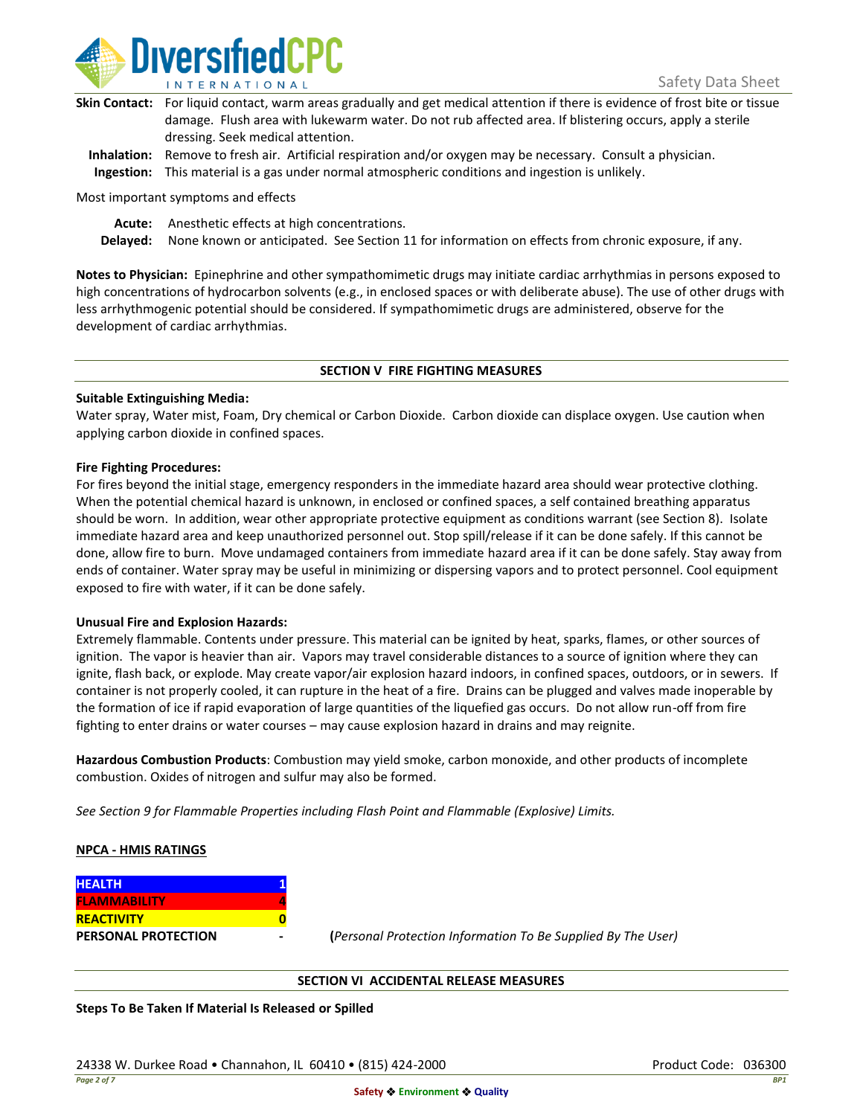

| Skin Contact: For liquid contact, warm areas gradually and get medical attention if there is evidence of frost bite or tissue |
|-------------------------------------------------------------------------------------------------------------------------------|
| damage. Flush area with lukewarm water. Do not rub affected area. If blistering occurs, apply a sterile                       |
| dressing. Seek medical attention.                                                                                             |
|                                                                                                                               |

**Inhalation:** Remove to fresh air. Artificial respiration and/or oxygen may be necessary. Consult a physician. **Ingestion:** This material is a gas under normal atmospheric conditions and ingestion is unlikely.

Most important symptoms and effects

**Acute:** Anesthetic effects at high concentrations.

**Delayed:** None known or anticipated. See Section 11 for information on effects from chronic exposure, if any.

**Notes to Physician:** Epinephrine and other sympathomimetic drugs may initiate cardiac arrhythmias in persons exposed to high concentrations of hydrocarbon solvents (e.g., in enclosed spaces or with deliberate abuse). The use of other drugs with less arrhythmogenic potential should be considered. If sympathomimetic drugs are administered, observe for the development of cardiac arrhythmias.

### **SECTION V FIRE FIGHTING MEASURES**

### **Suitable Extinguishing Media:**

Water spray, Water mist, Foam, Dry chemical or Carbon Dioxide. Carbon dioxide can displace oxygen. Use caution when applying carbon dioxide in confined spaces.

### **Fire Fighting Procedures:**

For fires beyond the initial stage, emergency responders in the immediate hazard area should wear protective clothing. When the potential chemical hazard is unknown, in enclosed or confined spaces, a self contained breathing apparatus should be worn. In addition, wear other appropriate protective equipment as conditions warrant (see Section 8). Isolate immediate hazard area and keep unauthorized personnel out. Stop spill/release if it can be done safely. If this cannot be done, allow fire to burn. Move undamaged containers from immediate hazard area if it can be done safely. Stay away from ends of container. Water spray may be useful in minimizing or dispersing vapors and to protect personnel. Cool equipment exposed to fire with water, if it can be done safely.

### **Unusual Fire and Explosion Hazards:**

Extremely flammable. Contents under pressure. This material can be ignited by heat, sparks, flames, or other sources of ignition. The vapor is heavier than air. Vapors may travel considerable distances to a source of ignition where they can ignite, flash back, or explode. May create vapor/air explosion hazard indoors, in confined spaces, outdoors, or in sewers. If container is not properly cooled, it can rupture in the heat of a fire. Drains can be plugged and valves made inoperable by the formation of ice if rapid evaporation of large quantities of the liquefied gas occurs. Do not allow run-off from fire fighting to enter drains or water courses – may cause explosion hazard in drains and may reignite.

**Hazardous Combustion Products**: Combustion may yield smoke, carbon monoxide, and other products of incomplete combustion. Oxides of nitrogen and sulfur may also be formed.

*See Section 9 for Flammable Properties including Flash Point and Flammable (Explosive) Limits.*

### **NPCA - HMIS RATINGS**

| <b>HEALTH</b>              |  |
|----------------------------|--|
| <b>FLAMMABILITY</b>        |  |
| <b>REACTIVITY</b>          |  |
| <b>PERSONAL PROTECTION</b> |  |

**PERSONAL PROTECTION - (***Personal Protection Information To Be Supplied By The User)*

### **SECTION VI ACCIDENTAL RELEASE MEASURES**

**Steps To Be Taken If Material Is Released or Spilled**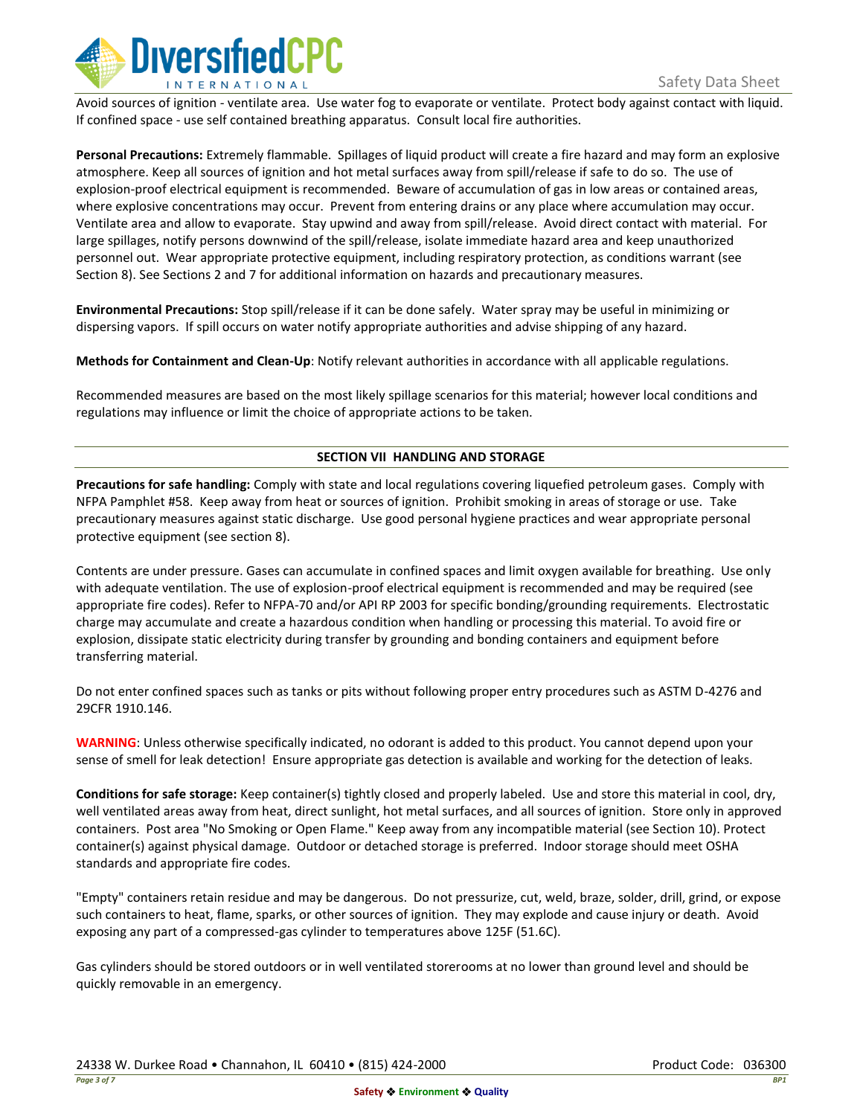

Avoid sources of ignition - ventilate area. Use water fog to evaporate or ventilate. Protect body against contact with liquid. If confined space - use self contained breathing apparatus. Consult local fire authorities.

**Personal Precautions:** Extremely flammable. Spillages of liquid product will create a fire hazard and may form an explosive atmosphere. Keep all sources of ignition and hot metal surfaces away from spill/release if safe to do so. The use of explosion-proof electrical equipment is recommended. Beware of accumulation of gas in low areas or contained areas, where explosive concentrations may occur. Prevent from entering drains or any place where accumulation may occur. Ventilate area and allow to evaporate. Stay upwind and away from spill/release. Avoid direct contact with material. For large spillages, notify persons downwind of the spill/release, isolate immediate hazard area and keep unauthorized personnel out. Wear appropriate protective equipment, including respiratory protection, as conditions warrant (see Section 8). See Sections 2 and 7 for additional information on hazards and precautionary measures.

**Environmental Precautions:** Stop spill/release if it can be done safely. Water spray may be useful in minimizing or dispersing vapors. If spill occurs on water notify appropriate authorities and advise shipping of any hazard.

**Methods for Containment and Clean-Up**: Notify relevant authorities in accordance with all applicable regulations.

Recommended measures are based on the most likely spillage scenarios for this material; however local conditions and regulations may influence or limit the choice of appropriate actions to be taken.

## **SECTION VII HANDLING AND STORAGE**

**Precautions for safe handling:** Comply with state and local regulations covering liquefied petroleum gases. Comply with NFPA Pamphlet #58. Keep away from heat or sources of ignition. Prohibit smoking in areas of storage or use. Take precautionary measures against static discharge. Use good personal hygiene practices and wear appropriate personal protective equipment (see section 8).

Contents are under pressure. Gases can accumulate in confined spaces and limit oxygen available for breathing. Use only with adequate ventilation. The use of explosion-proof electrical equipment is recommended and may be required (see appropriate fire codes). Refer to NFPA-70 and/or API RP 2003 for specific bonding/grounding requirements. Electrostatic charge may accumulate and create a hazardous condition when handling or processing this material. To avoid fire or explosion, dissipate static electricity during transfer by grounding and bonding containers and equipment before transferring material.

Do not enter confined spaces such as tanks or pits without following proper entry procedures such as ASTM D-4276 and 29CFR 1910.146.

**WARNING**: Unless otherwise specifically indicated, no odorant is added to this product. You cannot depend upon your sense of smell for leak detection! Ensure appropriate gas detection is available and working for the detection of leaks.

**Conditions for safe storage:** Keep container(s) tightly closed and properly labeled. Use and store this material in cool, dry, well ventilated areas away from heat, direct sunlight, hot metal surfaces, and all sources of ignition. Store only in approved containers. Post area "No Smoking or Open Flame." Keep away from any incompatible material (see Section 10). Protect container(s) against physical damage. Outdoor or detached storage is preferred. Indoor storage should meet OSHA standards and appropriate fire codes.

"Empty" containers retain residue and may be dangerous. Do not pressurize, cut, weld, braze, solder, drill, grind, or expose such containers to heat, flame, sparks, or other sources of ignition. They may explode and cause injury or death. Avoid exposing any part of a compressed-gas cylinder to temperatures above 125F (51.6C).

Gas cylinders should be stored outdoors or in well ventilated storerooms at no lower than ground level and should be quickly removable in an emergency.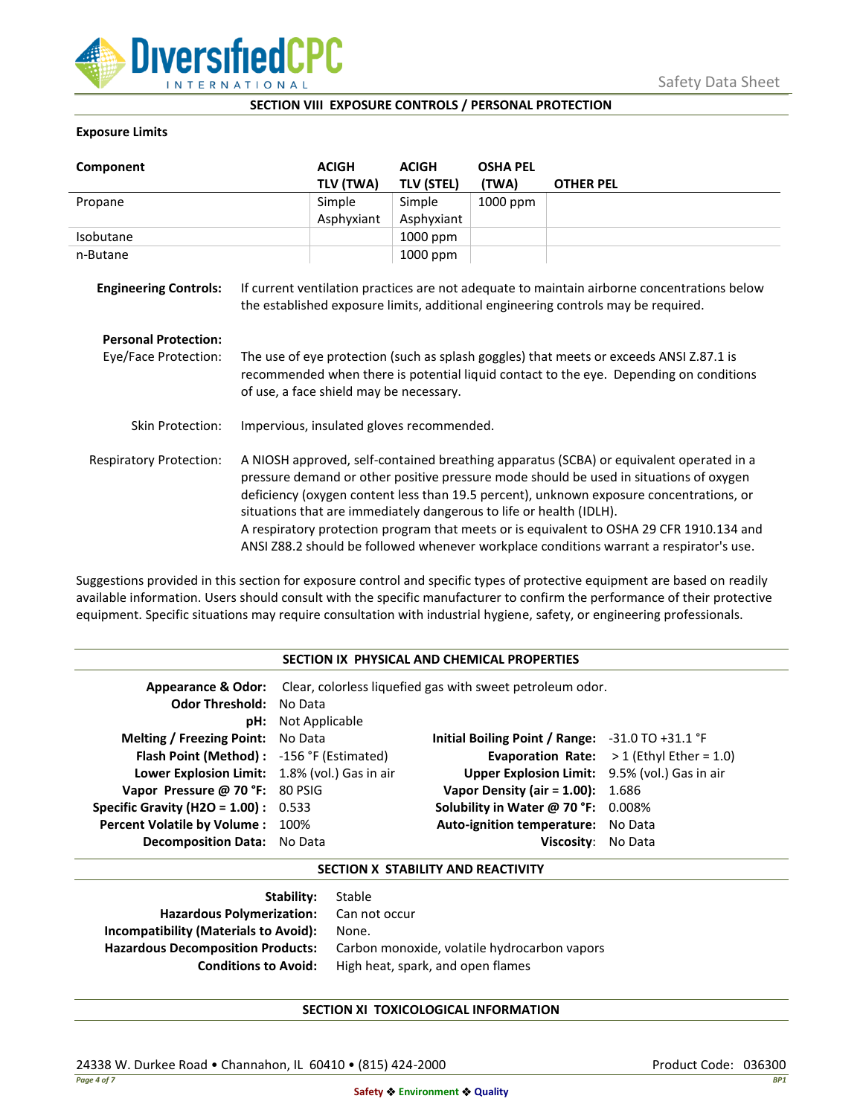

## **SECTION VIII EXPOSURE CONTROLS / PERSONAL PROTECTION**

### **Exposure Limits**

| Component                      |                                                                                                                                                                                                                                                                                                                                                                                                                                                                                                                                            | <b>ACIGH</b> | <b>ACIGH</b>      | <b>OSHA PEL</b> |                                                                                                                                                                                  |
|--------------------------------|--------------------------------------------------------------------------------------------------------------------------------------------------------------------------------------------------------------------------------------------------------------------------------------------------------------------------------------------------------------------------------------------------------------------------------------------------------------------------------------------------------------------------------------------|--------------|-------------------|-----------------|----------------------------------------------------------------------------------------------------------------------------------------------------------------------------------|
|                                |                                                                                                                                                                                                                                                                                                                                                                                                                                                                                                                                            | TLV (TWA)    | <b>TLV (STEL)</b> | (TWA)           | <b>OTHER PEL</b>                                                                                                                                                                 |
| Propane                        |                                                                                                                                                                                                                                                                                                                                                                                                                                                                                                                                            | Simple       | Simple            | 1000 ppm        |                                                                                                                                                                                  |
|                                |                                                                                                                                                                                                                                                                                                                                                                                                                                                                                                                                            | Asphyxiant   | Asphyxiant        |                 |                                                                                                                                                                                  |
| Isobutane                      |                                                                                                                                                                                                                                                                                                                                                                                                                                                                                                                                            |              | 1000 ppm          |                 |                                                                                                                                                                                  |
| n-Butane                       |                                                                                                                                                                                                                                                                                                                                                                                                                                                                                                                                            |              | 1000 ppm          |                 |                                                                                                                                                                                  |
| <b>Engineering Controls:</b>   |                                                                                                                                                                                                                                                                                                                                                                                                                                                                                                                                            |              |                   |                 | If current ventilation practices are not adequate to maintain airborne concentrations below<br>the established exposure limits, additional engineering controls may be required. |
| <b>Personal Protection:</b>    |                                                                                                                                                                                                                                                                                                                                                                                                                                                                                                                                            |              |                   |                 |                                                                                                                                                                                  |
| Eye/Face Protection:           | The use of eye protection (such as splash goggles) that meets or exceeds ANSI Z.87.1 is<br>recommended when there is potential liquid contact to the eye. Depending on conditions<br>of use, a face shield may be necessary.                                                                                                                                                                                                                                                                                                               |              |                   |                 |                                                                                                                                                                                  |
| <b>Skin Protection:</b>        | Impervious, insulated gloves recommended.                                                                                                                                                                                                                                                                                                                                                                                                                                                                                                  |              |                   |                 |                                                                                                                                                                                  |
| <b>Respiratory Protection:</b> | A NIOSH approved, self-contained breathing apparatus (SCBA) or equivalent operated in a<br>pressure demand or other positive pressure mode should be used in situations of oxygen<br>deficiency (oxygen content less than 19.5 percent), unknown exposure concentrations, or<br>situations that are immediately dangerous to life or health (IDLH).<br>A respiratory protection program that meets or is equivalent to OSHA 29 CFR 1910.134 and<br>ANSI Z88.2 should be followed whenever workplace conditions warrant a respirator's use. |              |                   |                 |                                                                                                                                                                                  |

Suggestions provided in this section for exposure control and specific types of protective equipment are based on readily available information. Users should consult with the specific manufacturer to confirm the performance of their protective equipment. Specific situations may require consultation with industrial hygiene, safety, or engineering professionals.

#### **SECTION IX PHYSICAL AND CHEMICAL PROPERTIES**

| <b>Odor Threshold: No Data</b>                | <b>pH:</b> Not Applicable | <b>Appearance &amp; Odor:</b> Clear, colorless liquefied gas with sweet petroleum odor. |                                                    |
|-----------------------------------------------|---------------------------|-----------------------------------------------------------------------------------------|----------------------------------------------------|
| <b>Melting / Freezing Point:</b> No Data      |                           | Initial Boiling Point / Range: $-31.0$ TO $+31.1$ °F                                    |                                                    |
| Flash Point (Method): -156 °F (Estimated)     |                           |                                                                                         | <b>Evaporation Rate:</b> $> 1$ (Ethyl Ether = 1.0) |
| Lower Explosion Limit: 1.8% (vol.) Gas in air |                           | Upper Explosion Limit: 9.5% (vol.) Gas in air                                           |                                                    |
| Vapor Pressure @ 70 °F: 80 PSIG               |                           | <b>Vapor Density (air = 1.00):</b> 1.686                                                |                                                    |
| <b>Specific Gravity (H2O = 1.00):</b> $0.533$ |                           | Solubility in Water @ 70 °F: 0.008%                                                     |                                                    |
| Percent Volatile by Volume: 100%              |                           | Auto-ignition temperature: No Data                                                      |                                                    |
| Decomposition Data: No Data                   |                           | Viscosity: No Data                                                                      |                                                    |

## **SECTION X STABILITY AND REACTIVITY**

| Stable                                                           |
|------------------------------------------------------------------|
| Hazardous Polymerization: Can not occur                          |
| None.                                                            |
| Carbon monoxide, volatile hydrocarbon vapors                     |
| High heat, spark, and open flames<br><b>Conditions to Avoid:</b> |
|                                                                  |

# **SECTION XI TOXICOLOGICAL INFORMATION**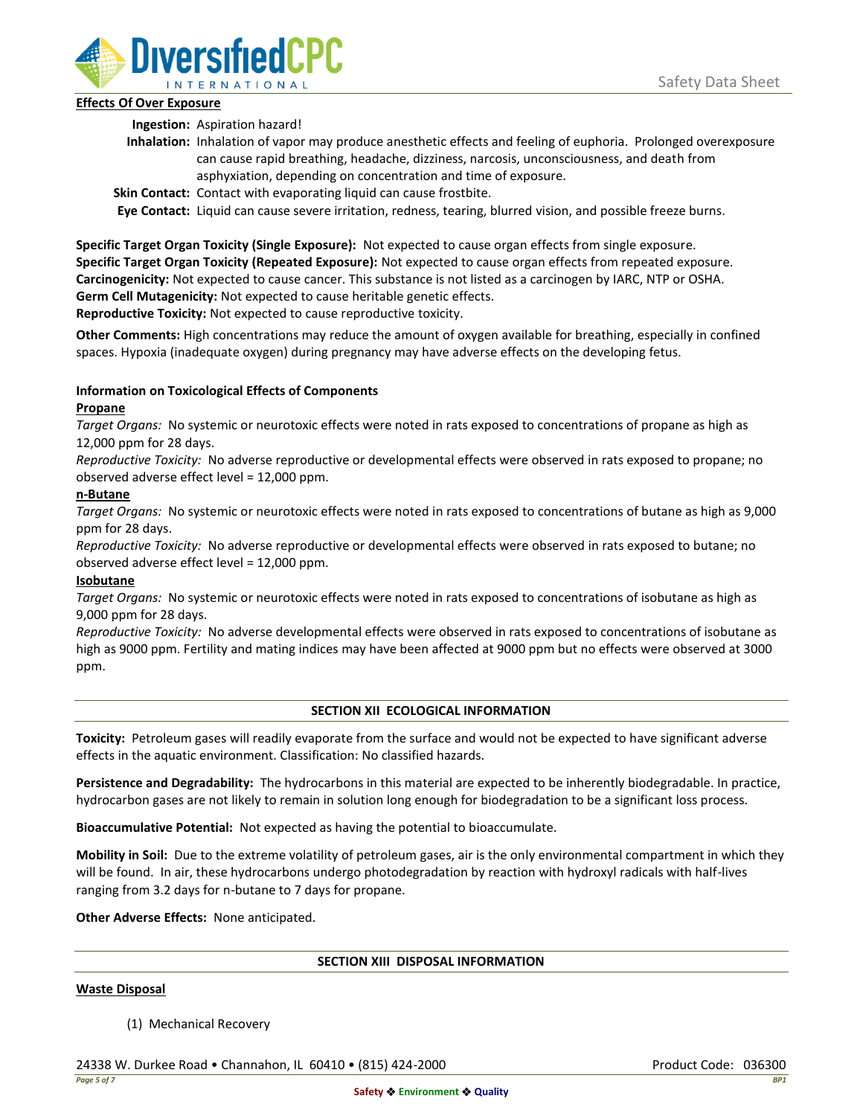

## **Effects Of Over Exposure**

**Ingestion:** Aspiration hazard!

- **Inhalation:** Inhalation of vapor may produce anesthetic effects and feeling of euphoria. Prolonged overexposure can cause rapid breathing, headache, dizziness, narcosis, unconsciousness, and death from asphyxiation, depending on concentration and time of exposure.
- **Skin Contact:** Contact with evaporating liquid can cause frostbite.

**Eye Contact:** Liquid can cause severe irritation, redness, tearing, blurred vision, and possible freeze burns.

**Specific Target Organ Toxicity (Single Exposure):** Not expected to cause organ effects from single exposure. **Specific Target Organ Toxicity (Repeated Exposure):** Not expected to cause organ effects from repeated exposure. **Carcinogenicity:** Not expected to cause cancer. This substance is not listed as a carcinogen by IARC, NTP or OSHA. **Germ Cell Mutagenicity:** Not expected to cause heritable genetic effects.

**Reproductive Toxicity:** Not expected to cause reproductive toxicity.

**Other Comments:** High concentrations may reduce the amount of oxygen available for breathing, especially in confined spaces. Hypoxia (inadequate oxygen) during pregnancy may have adverse effects on the developing fetus.

# **Information on Toxicological Effects of Components**

## **Propane**

*Target Organs:* No systemic or neurotoxic effects were noted in rats exposed to concentrations of propane as high as 12,000 ppm for 28 days.

*Reproductive Toxicity:* No adverse reproductive or developmental effects were observed in rats exposed to propane; no observed adverse effect level = 12,000 ppm.

## **n-Butane**

*Target Organs:* No systemic or neurotoxic effects were noted in rats exposed to concentrations of butane as high as 9,000 ppm for 28 days.

*Reproductive Toxicity:* No adverse reproductive or developmental effects were observed in rats exposed to butane; no observed adverse effect level = 12,000 ppm.

# **Isobutane**

*Target Organs:* No systemic or neurotoxic effects were noted in rats exposed to concentrations of isobutane as high as 9,000 ppm for 28 days.

*Reproductive Toxicity:* No adverse developmental effects were observed in rats exposed to concentrations of isobutane as high as 9000 ppm. Fertility and mating indices may have been affected at 9000 ppm but no effects were observed at 3000 ppm.

# **SECTION XII ECOLOGICAL INFORMATION**

**Toxicity:** Petroleum gases will readily evaporate from the surface and would not be expected to have significant adverse effects in the aquatic environment. Classification: No classified hazards.

**Persistence and Degradability:** The hydrocarbons in this material are expected to be inherently biodegradable. In practice, hydrocarbon gases are not likely to remain in solution long enough for biodegradation to be a significant loss process.

**Bioaccumulative Potential:** Not expected as having the potential to bioaccumulate.

**Mobility in Soil:** Due to the extreme volatility of petroleum gases, air is the only environmental compartment in which they will be found. In air, these hydrocarbons undergo photodegradation by reaction with hydroxyl radicals with half-lives ranging from 3.2 days for n-butane to 7 days for propane.

**Other Adverse Effects:** None anticipated.

# **SECTION XIII DISPOSAL INFORMATION**

### **Waste Disposal**

(1) Mechanical Recovery

24338 W. Durkee Road • Channahon, IL 60410 • (815) 424-2000 Product Code: 036300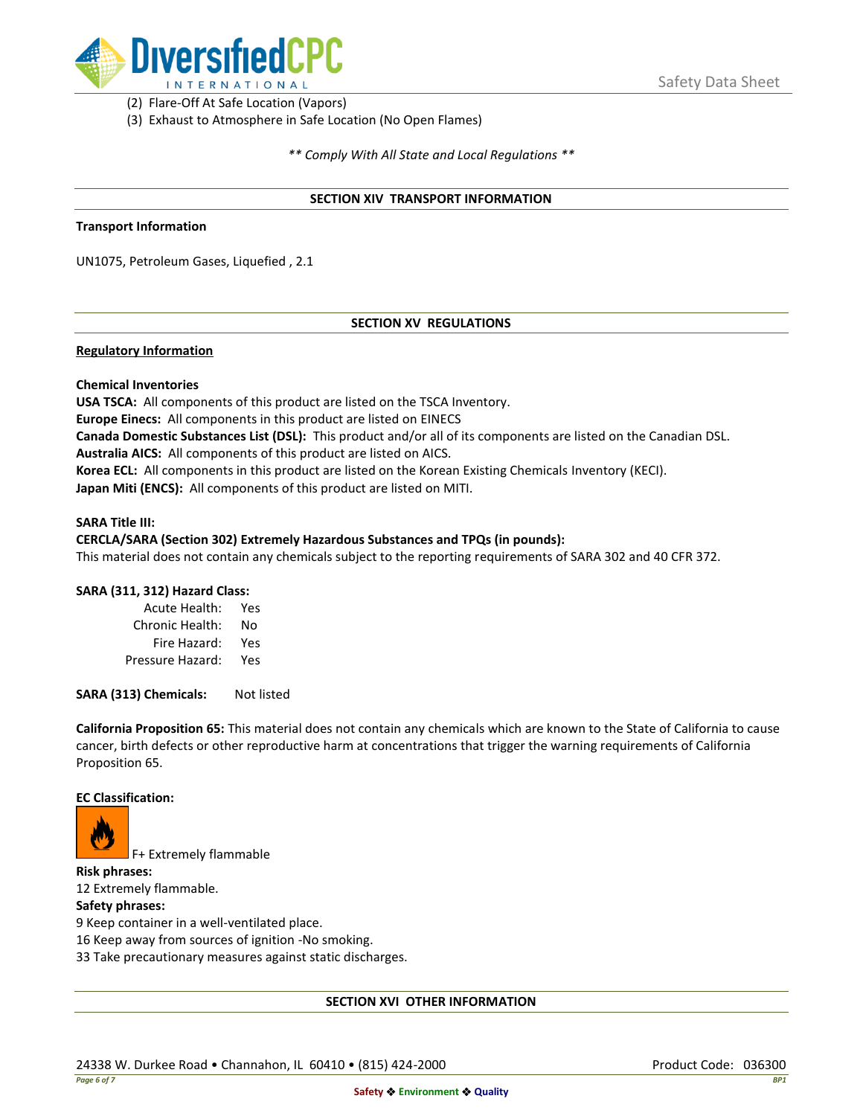

(2) Flare-Off At Safe Location (Vapors)

(3) Exhaust to Atmosphere in Safe Location (No Open Flames)

*\*\* Comply With All State and Local Regulations \*\**

### **SECTION XIV TRANSPORT INFORMATION**

#### **Transport Information**

UN1075, Petroleum Gases, Liquefied , 2.1

## **SECTION XV REGULATIONS**

### **Regulatory Information**

### **Chemical Inventories**

**USA TSCA:** All components of this product are listed on the TSCA Inventory. **Europe Einecs:** All components in this product are listed on EINECS **Canada Domestic Substances List (DSL):** This product and/or all of its components are listed on the Canadian DSL. **Australia AICS:** All components of this product are listed on AICS. **Korea ECL:** All components in this product are listed on the Korean Existing Chemicals Inventory (KECI). **Japan Miti (ENCS):** All components of this product are listed on MITI.

#### **SARA Title III:**

### **CERCLA/SARA (Section 302) Extremely Hazardous Substances and TPQs (in pounds):**

This material does not contain any chemicals subject to the reporting requirements of SARA 302 and 40 CFR 372.

### **SARA (311, 312) Hazard Class:**

| Acute Health:    | Yes |
|------------------|-----|
| Chronic Health:  | No  |
| Fire Hazard:     | Yes |
| Pressure Hazard: | Yes |

**SARA (313) Chemicals:** Not listed

**California Proposition 65:** This material does not contain any chemicals which are known to the State of California to cause cancer, birth defects or other reproductive harm at concentrations that trigger the warning requirements of California Proposition 65.

#### **EC Classification:**



F+ Extremely flammable

**Risk phrases:** 12 Extremely flammable.

## **Safety phrases:**

9 Keep container in a well-ventilated place.

16 Keep away from sources of ignition -No smoking.

33 Take precautionary measures against static discharges.

### **SECTION XVI OTHER INFORMATION**